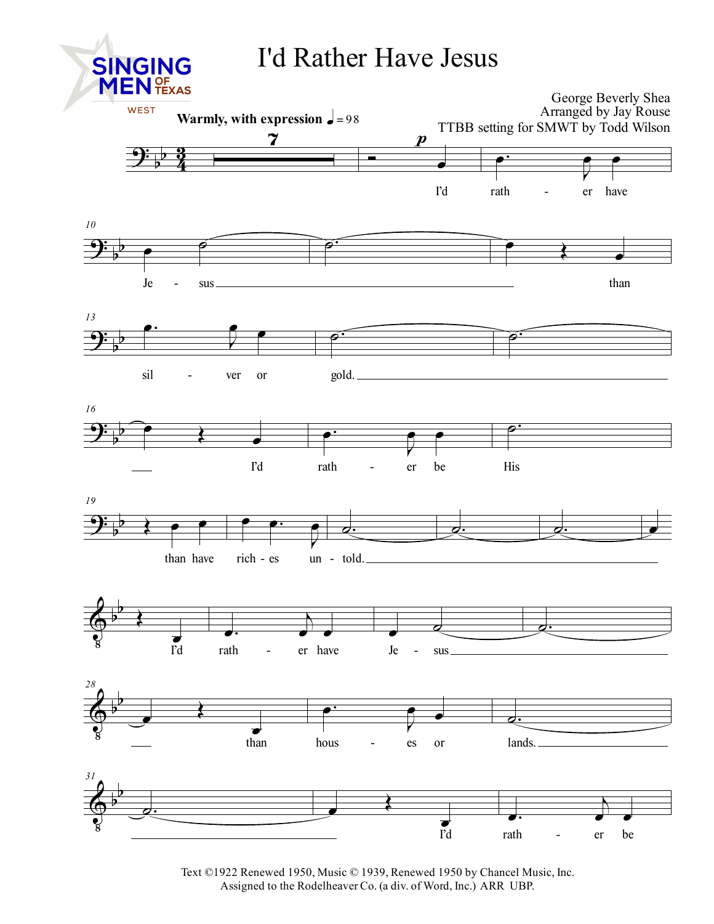## I'd Rather Have Jesus



Text ©1922 Renewed 1950, Music © 1939, Renewed 1950 by Chancel Music, Inc. Assigned to the Rodelheaver Co. (a div. of Word, Inc.) ARR UBP.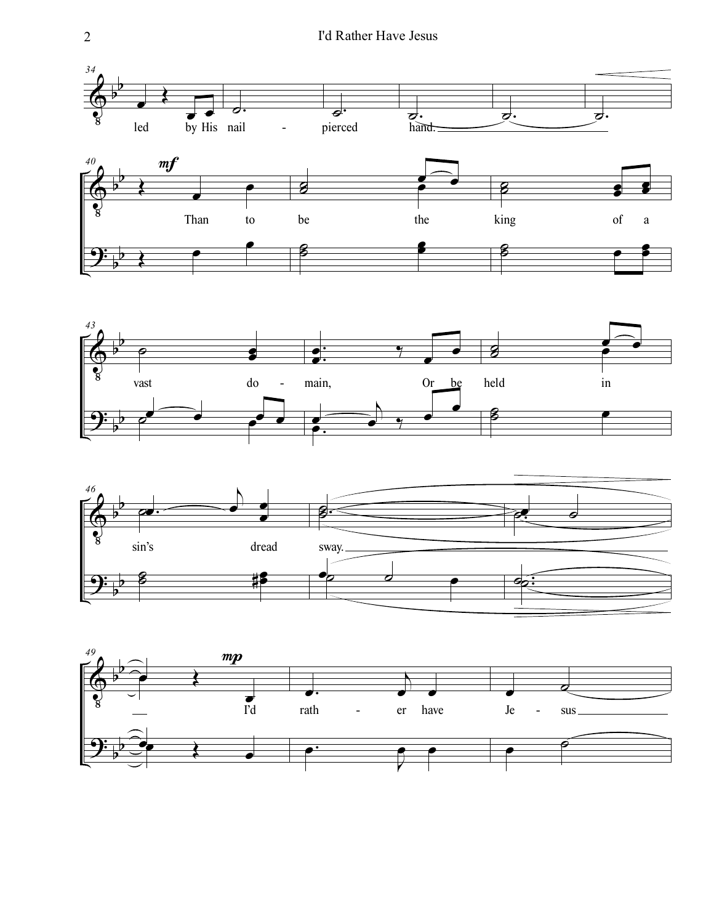







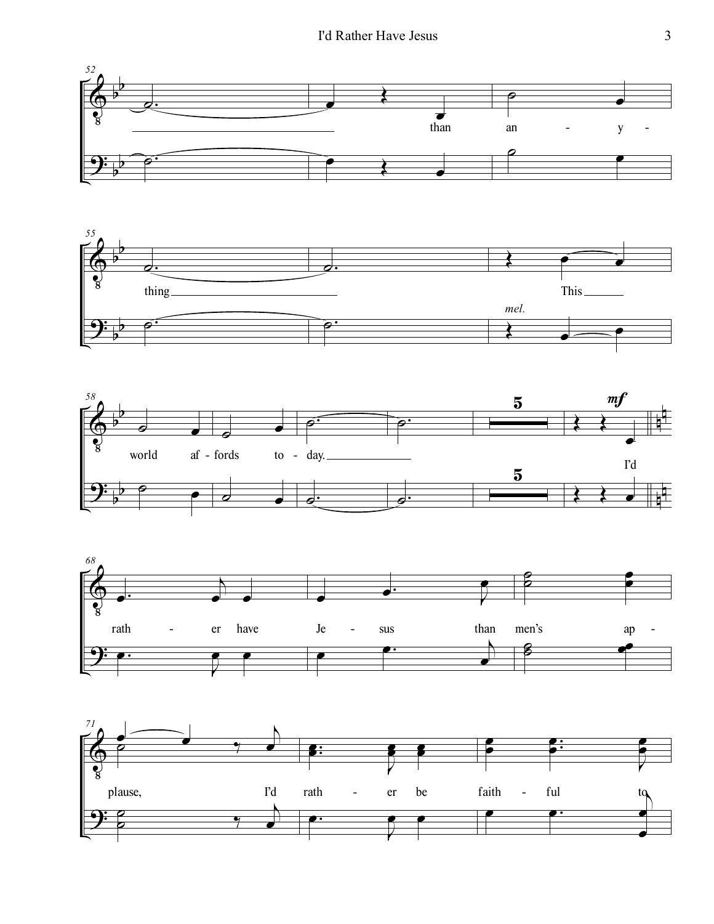







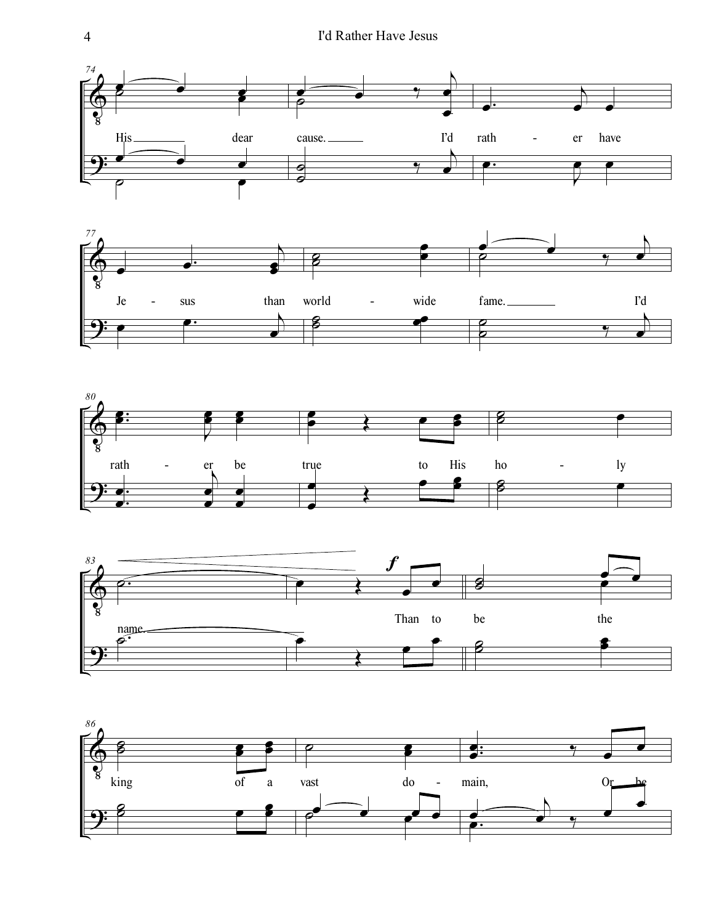







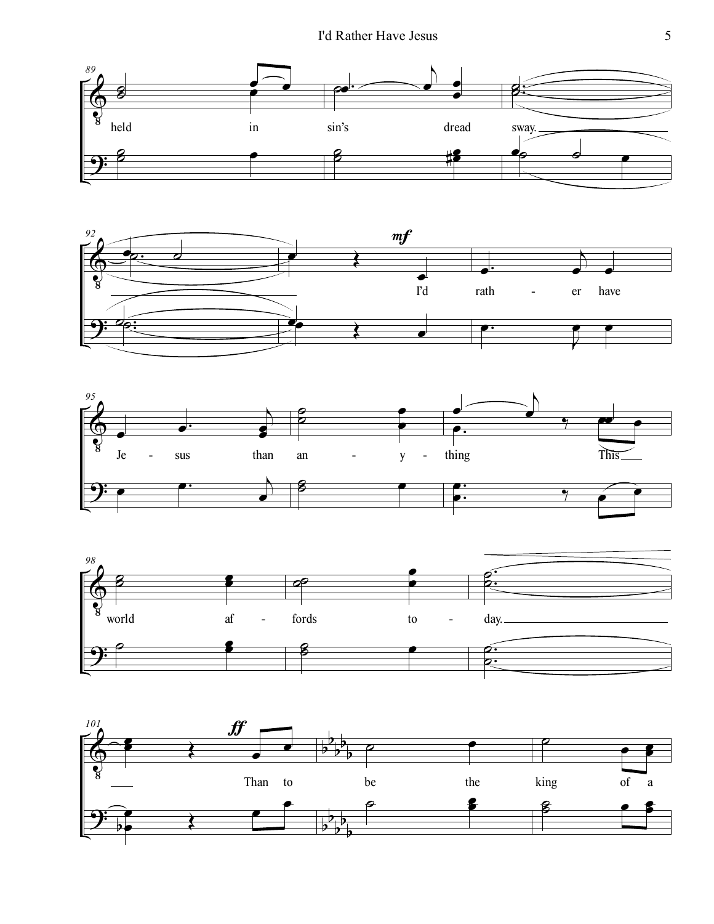







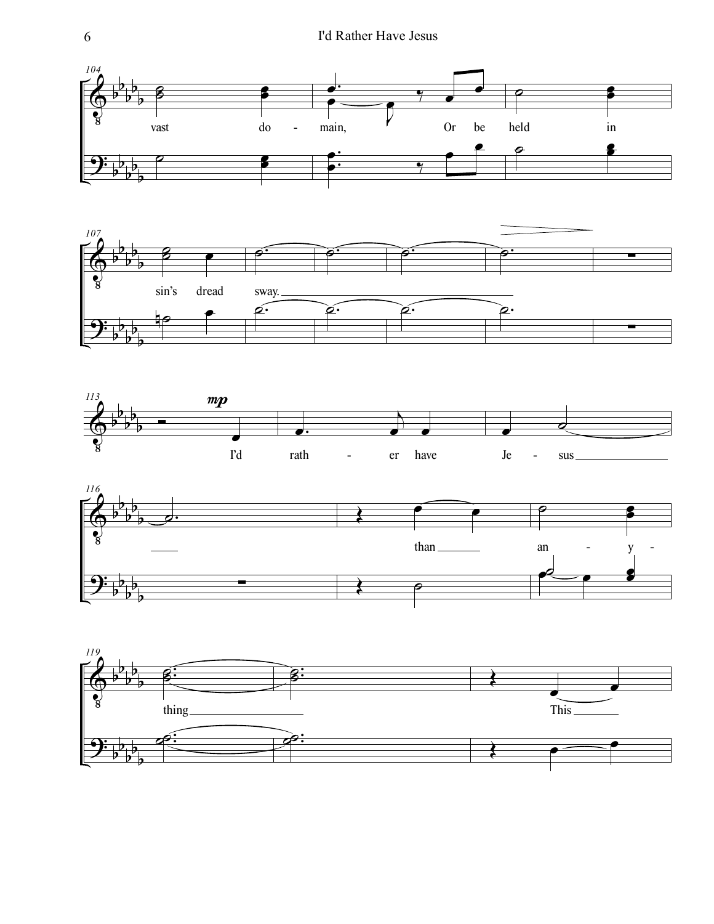